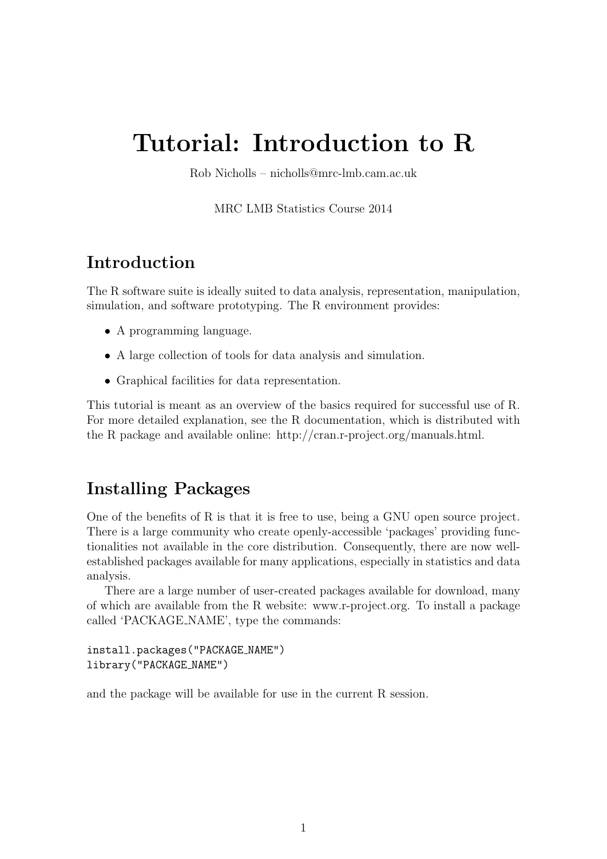# Tutorial: Introduction to R

Rob Nicholls – nicholls@mrc-lmb.cam.ac.uk

MRC LMB Statistics Course 2014

# Introduction

The R software suite is ideally suited to data analysis, representation, manipulation, simulation, and software prototyping. The R environment provides:

- A programming language.
- A large collection of tools for data analysis and simulation.
- Graphical facilities for data representation.

This tutorial is meant as an overview of the basics required for successful use of R. For more detailed explanation, see the R documentation, which is distributed with the R package and available online: http://cran.r-project.org/manuals.html.

# Installing Packages

One of the benefits of R is that it is free to use, being a GNU open source project. There is a large community who create openly-accessible 'packages' providing functionalities not available in the core distribution. Consequently, there are now wellestablished packages available for many applications, especially in statistics and data analysis.

There are a large number of user-created packages available for download, many of which are available from the R website: www.r-project.org. To install a package called 'PACKAGE NAME', type the commands:

```
install.packages("PACKAGE NAME")
library("PACKAGE NAME")
```
and the package will be available for use in the current R session.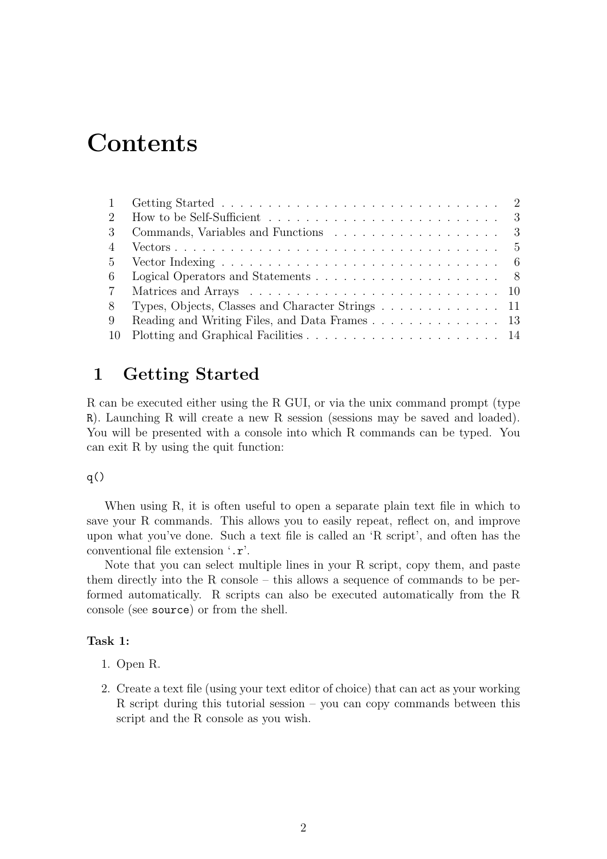# **Contents**

| 2               | How to be Self-Sufficient $\ldots \ldots \ldots \ldots \ldots \ldots \ldots \ldots \ldots 3$   |
|-----------------|------------------------------------------------------------------------------------------------|
| $\mathcal{S}$   |                                                                                                |
|                 |                                                                                                |
| $5^{\circ}$     | Vector Indexing $\ldots \ldots \ldots \ldots \ldots \ldots \ldots \ldots \ldots \ldots \ldots$ |
| 6               |                                                                                                |
| $7\phantom{.0}$ |                                                                                                |
| 8               | Types, Objects, Classes and Character Strings 11                                               |
| -9              |                                                                                                |
| -10             |                                                                                                |

# 1 Getting Started

R can be executed either using the R GUI, or via the unix command prompt (type R). Launching R will create a new R session (sessions may be saved and loaded). You will be presented with a console into which R commands can be typed. You can exit R by using the quit function:

### $q()$

When using R, it is often useful to open a separate plain text file in which to save your R commands. This allows you to easily repeat, reflect on, and improve upon what you've done. Such a text file is called an 'R script', and often has the conventional file extension '.r'.

Note that you can select multiple lines in your R script, copy them, and paste them directly into the R console – this allows a sequence of commands to be performed automatically. R scripts can also be executed automatically from the R console (see source) or from the shell.

- 1. Open R.
- 2. Create a text file (using your text editor of choice) that can act as your working R script during this tutorial session – you can copy commands between this script and the R console as you wish.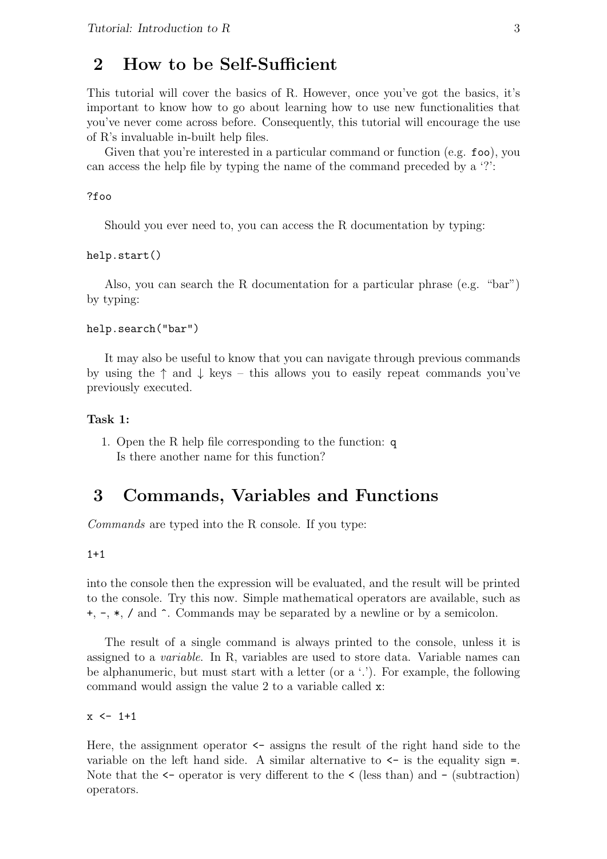### 2 How to be Self-Sufficient

This tutorial will cover the basics of R. However, once you've got the basics, it's important to know how to go about learning how to use new functionalities that you've never come across before. Consequently, this tutorial will encourage the use of R's invaluable in-built help files.

Given that you're interested in a particular command or function (e.g. foo), you can access the help file by typing the name of the command preceded by a '?':

#### ?foo

Should you ever need to, you can access the R documentation by typing:

#### help.start()

Also, you can search the R documentation for a particular phrase (e.g. "bar") by typing:

#### help.search("bar")

It may also be useful to know that you can navigate through previous commands by using the  $\uparrow$  and  $\downarrow$  keys – this allows you to easily repeat commands you've previously executed.

### Task 1:

1. Open the R help file corresponding to the function: q Is there another name for this function?

# 3 Commands, Variables and Functions

Commands are typed into the R console. If you type:

### $1+1$

into the console then the expression will be evaluated, and the result will be printed to the console. Try this now. Simple mathematical operators are available, such as +, -, \*, / and ^. Commands may be separated by a newline or by a semicolon.

The result of a single command is always printed to the console, unless it is assigned to a variable. In R, variables are used to store data. Variable names can be alphanumeric, but must start with a letter (or a '.'). For example, the following command would assign the value 2 to a variable called x:

 $x \le -1+1$ 

Here, the assignment operator  $\leq$  assigns the result of the right hand side to the variable on the left hand side. A similar alternative to  $\leq$  is the equality sign =. Note that the  $\leq$  operator is very different to the  $\leq$  (less than) and  $\sim$  (subtraction) operators.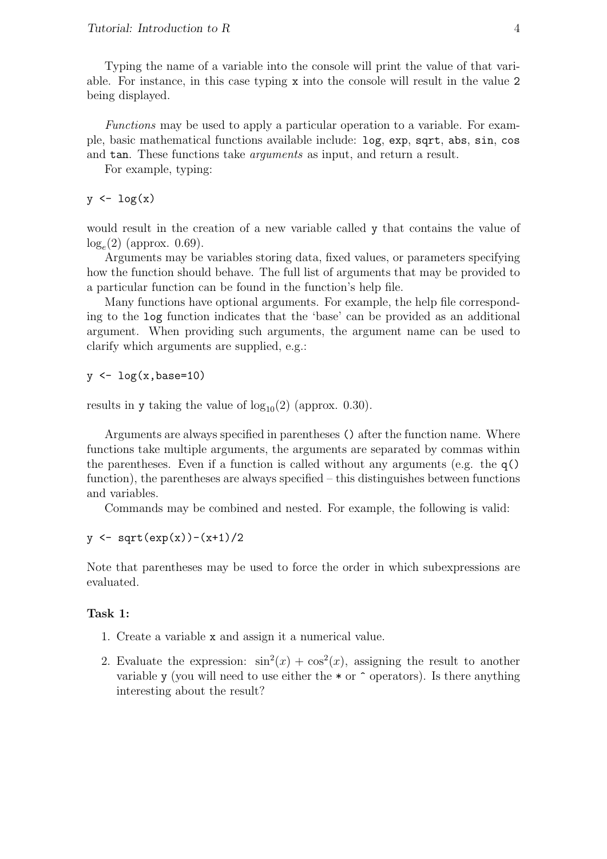Typing the name of a variable into the console will print the value of that variable. For instance, in this case typing x into the console will result in the value 2 being displayed.

Functions may be used to apply a particular operation to a variable. For example, basic mathematical functions available include: log, exp, sqrt, abs, sin, cos and tan. These functions take *arguments* as input, and return a result.

For example, typing:

 $y \leftarrow \log(x)$ 

would result in the creation of a new variable called y that contains the value of  $log_e(2)$  (approx. 0.69).

Arguments may be variables storing data, fixed values, or parameters specifying how the function should behave. The full list of arguments that may be provided to a particular function can be found in the function's help file.

Many functions have optional arguments. For example, the help file corresponding to the log function indicates that the 'base' can be provided as an additional argument. When providing such arguments, the argument name can be used to clarify which arguments are supplied, e.g.:

 $y \leftarrow \log(x, \text{base}=10)$ 

results in y taking the value of  $log_{10}(2)$  (approx. 0.30).

Arguments are always specified in parentheses () after the function name. Where functions take multiple arguments, the arguments are separated by commas within the parentheses. Even if a function is called without any arguments (e.g. the  $q()$ function), the parentheses are always specified – this distinguishes between functions and variables.

Commands may be combined and nested. For example, the following is valid:

 $y \leftarrow \text{sqrt}(\exp(x)) - (x+1)/2$ 

Note that parentheses may be used to force the order in which subexpressions are evaluated.

- 1. Create a variable x and assign it a numerical value.
- 2. Evaluate the expression:  $\sin^2(x) + \cos^2(x)$ , assigning the result to another variable y (you will need to use either the  $*$  or  $\hat{\ }$  operators). Is there anything interesting about the result?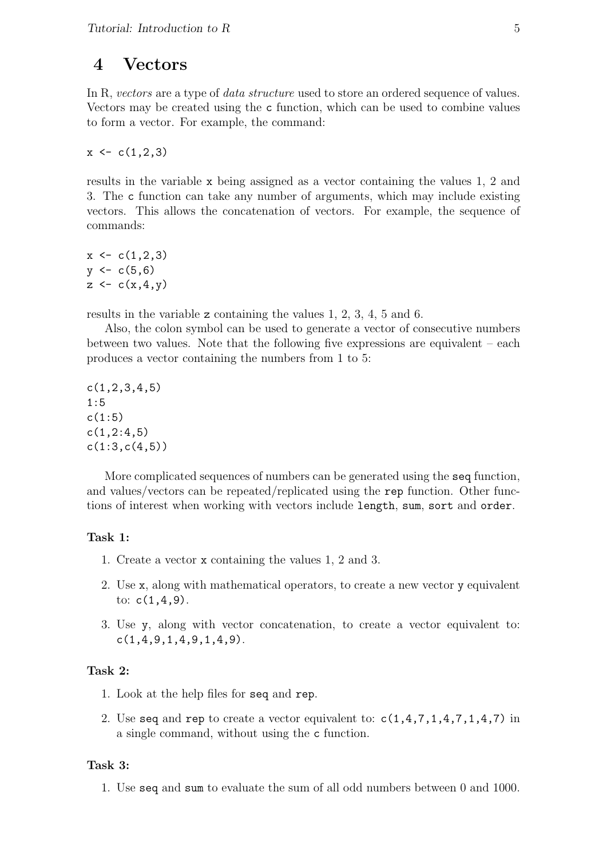### 4 Vectors

In R, vectors are a type of *data structure* used to store an ordered sequence of values. Vectors may be created using the c function, which can be used to combine values to form a vector. For example, the command:

 $x \leftarrow c(1,2,3)$ 

results in the variable x being assigned as a vector containing the values 1, 2 and 3. The c function can take any number of arguments, which may include existing vectors. This allows the concatenation of vectors. For example, the sequence of commands:

 $x \leftarrow c(1,2,3)$  $y \leftarrow c(5,6)$  $z \leftarrow c(x, 4, y)$ 

results in the variable z containing the values 1, 2, 3, 4, 5 and 6.

Also, the colon symbol can be used to generate a vector of consecutive numbers between two values. Note that the following five expressions are equivalent – each produces a vector containing the numbers from 1 to 5:

 $c(1, 2, 3, 4, 5)$ 1:5  $c(1:5)$  $c(1,2:4,5)$  $c(1:3,c(4,5))$ 

More complicated sequences of numbers can be generated using the seq function, and values/vectors can be repeated/replicated using the rep function. Other functions of interest when working with vectors include length, sum, sort and order.

#### Task 1:

- 1. Create a vector x containing the values 1, 2 and 3.
- 2. Use x, along with mathematical operators, to create a new vector y equivalent to:  $c(1,4,9)$ .
- 3. Use y, along with vector concatenation, to create a vector equivalent to: c(1,4,9,1,4,9,1,4,9).

### Task 2:

- 1. Look at the help files for seq and rep.
- 2. Use seq and rep to create a vector equivalent to:  $c(1,4,7,1,4,7,1,4,7)$  in a single command, without using the c function.

### Task 3:

1. Use seq and sum to evaluate the sum of all odd numbers between 0 and 1000.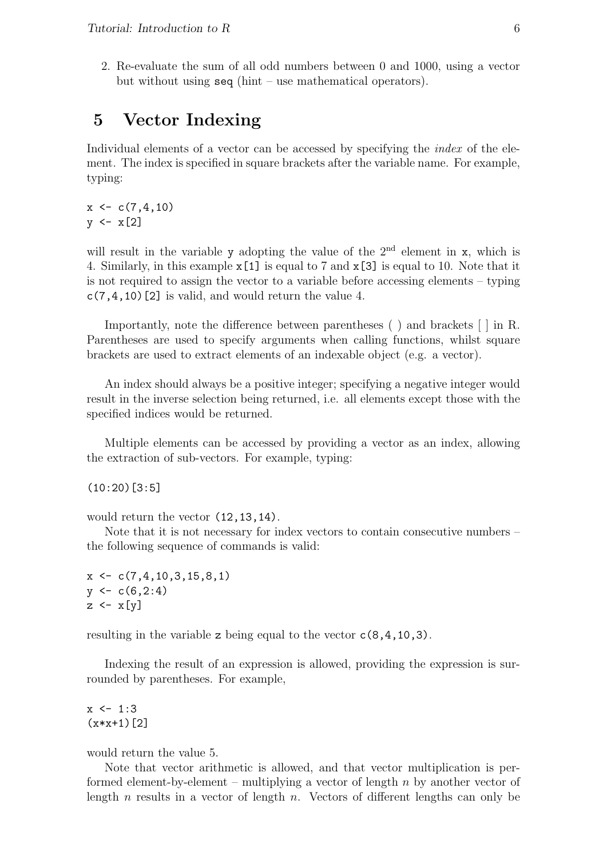2. Re-evaluate the sum of all odd numbers between 0 and 1000, using a vector but without using seq (hint – use mathematical operators).

## 5 Vector Indexing

Individual elements of a vector can be accessed by specifying the *index* of the element. The index is specified in square brackets after the variable name. For example, typing:

 $x \leftarrow c(7, 4, 10)$  $y \leftarrow x[2]$ 

will result in the variable y adopting the value of the  $2<sup>nd</sup>$  element in x, which is 4. Similarly, in this example x[1] is equal to 7 and x[3] is equal to 10. Note that it is not required to assign the vector to a variable before accessing elements – typing  $c(7, 4, 10)$  [2] is valid, and would return the value 4.

Importantly, note the difference between parentheses ( ) and brackets [ ] in R. Parentheses are used to specify arguments when calling functions, whilst square brackets are used to extract elements of an indexable object (e.g. a vector).

An index should always be a positive integer; specifying a negative integer would result in the inverse selection being returned, i.e. all elements except those with the specified indices would be returned.

Multiple elements can be accessed by providing a vector as an index, allowing the extraction of sub-vectors. For example, typing:

(10:20)[3:5]

would return the vector (12,13,14).

Note that it is not necessary for index vectors to contain consecutive numbers – the following sequence of commands is valid:

 $x \leftarrow c(7, 4, 10, 3, 15, 8, 1)$  $y \leftarrow c(6, 2:4)$  $z \leftarrow x[y]$ 

resulting in the variable z being equal to the vector c(8,4,10,3).

Indexing the result of an expression is allowed, providing the expression is surrounded by parentheses. For example,

 $x \le -1:3$  $(x*x+1)[2]$ 

would return the value 5.

Note that vector arithmetic is allowed, and that vector multiplication is performed element-by-element – multiplying a vector of length  $n$  by another vector of length  $n$  results in a vector of length  $n$ . Vectors of different lengths can only be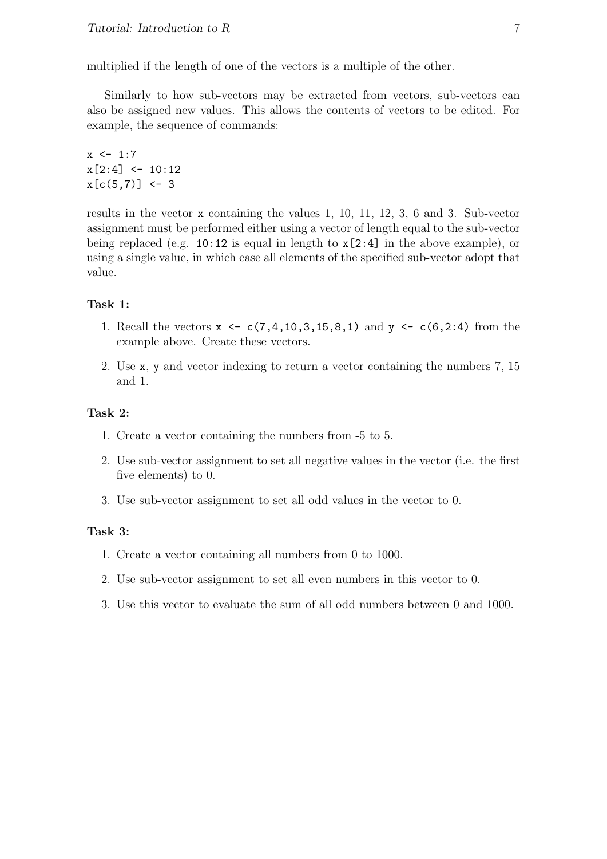multiplied if the length of one of the vectors is a multiple of the other.

Similarly to how sub-vectors may be extracted from vectors, sub-vectors can also be assigned new values. This allows the contents of vectors to be edited. For example, the sequence of commands:

 $x \le -1:7$  $x[2:4] < -10:12$  $x[c(5,7)] \leftarrow 3$ 

results in the vector x containing the values 1, 10, 11, 12, 3, 6 and 3. Sub-vector assignment must be performed either using a vector of length equal to the sub-vector being replaced (e.g. 10:12 is equal in length to x[2:4] in the above example), or using a single value, in which case all elements of the specified sub-vector adopt that value.

### Task 1:

- 1. Recall the vectors  $x \leftarrow c(7, 4, 10, 3, 15, 8, 1)$  and  $y \leftarrow c(6, 2: 4)$  from the example above. Create these vectors.
- 2. Use x, y and vector indexing to return a vector containing the numbers 7, 15 and 1.

### Task 2:

- 1. Create a vector containing the numbers from -5 to 5.
- 2. Use sub-vector assignment to set all negative values in the vector (i.e. the first five elements) to 0.
- 3. Use sub-vector assignment to set all odd values in the vector to 0.

### Task 3:

- 1. Create a vector containing all numbers from 0 to 1000.
- 2. Use sub-vector assignment to set all even numbers in this vector to 0.
- 3. Use this vector to evaluate the sum of all odd numbers between 0 and 1000.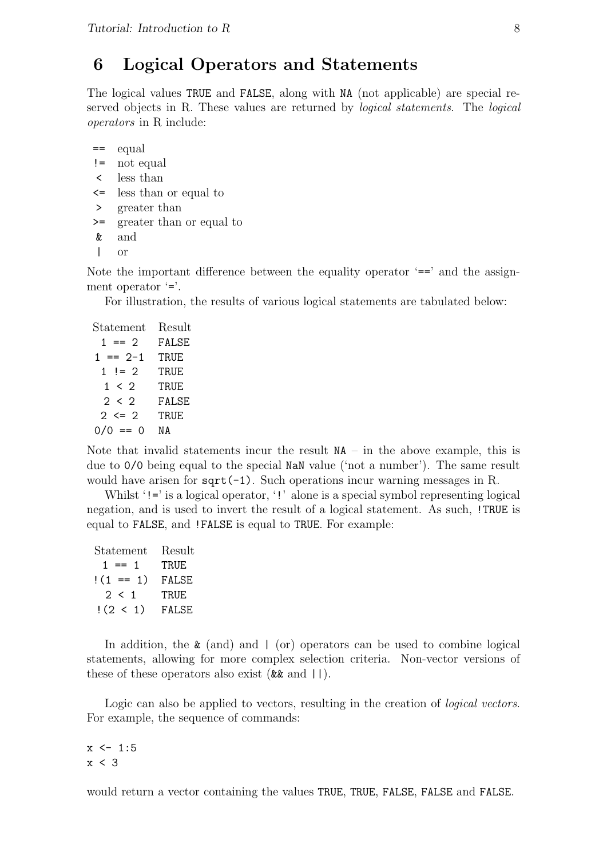# 6 Logical Operators and Statements

The logical values TRUE and FALSE, along with NA (not applicable) are special reserved objects in R. These values are returned by *logical statements*. The *logical* operators in R include:

 $=$  equal

- != not equal
- < less than
- <= less than or equal to
- > greater than
- >= greater than or equal to
- & and
- | or

Note the important difference between the equality operator  $\epsilon$ = and the assignment operator '='.

For illustration, the results of various logical statements are tabulated below:

| Statement     | Result |
|---------------|--------|
| $1 == 2$      | FALSE  |
| $1 == 2-1$    | TRUE   |
| $1 \neq 2$    | TRUE   |
| $1 \leq 2$    | TRUE   |
| 2 < 2         | FALSE  |
| $2 \le 2$     | TRUE   |
| $0/0 ==$<br>Ω | NΑ     |

Note that invalid statements incur the result  $NA - in$  the above example, this is due to 0/0 being equal to the special NaN value ('not a number'). The same result would have arisen for  $sqrt(-1)$ . Such operations incur warning messages in R.

Whilst '!=' is a logical operator, '!' alone is a special symbol representing logical negation, and is used to invert the result of a logical statement. As such, !TRUE is equal to FALSE, and !FALSE is equal to TRUE. For example:

| Statement   | Result |
|-------------|--------|
| $1 == 1$    | TRUE   |
| $!(1 == 1)$ | FALSE  |
| 2 < 1       | TRUE   |
| !(2 < 1)    | FALSE  |

In addition, the  $\&$  (and) and  $\mid$  (or) operators can be used to combine logical statements, allowing for more complex selection criteria. Non-vector versions of these of these operators also exist  $(\&\& \text{ and } ||).$ 

Logic can also be applied to vectors, resulting in the creation of *logical vectors*. For example, the sequence of commands:

 $x \le -1:5$ x < 3

would return a vector containing the values TRUE, TRUE, FALSE, FALSE and FALSE.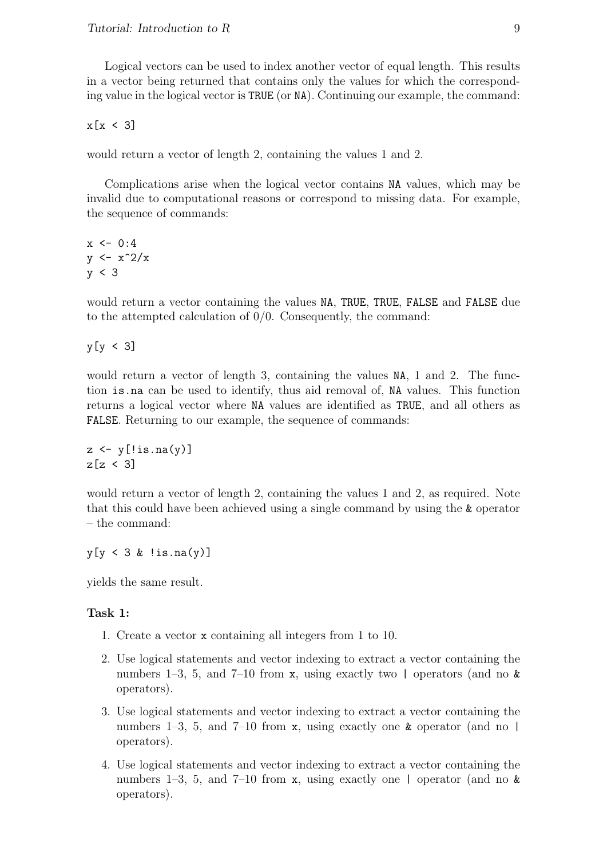Logical vectors can be used to index another vector of equal length. This results in a vector being returned that contains only the values for which the corresponding value in the logical vector is TRUE (or NA). Continuing our example, the command:

 $x[x \leq 3]$ 

would return a vector of length 2, containing the values 1 and 2.

Complications arise when the logical vector contains NA values, which may be invalid due to computational reasons or correspond to missing data. For example, the sequence of commands:

 $x \le -0.4$  $y \leftarrow x^2/x$ y < 3

would return a vector containing the values NA, TRUE, TRUE, FALSE and FALSE due to the attempted calculation of  $0/0$ . Consequently, the command:

y[y < 3]

would return a vector of length 3, containing the values NA, 1 and 2. The function is.na can be used to identify, thus aid removal of, NA values. This function returns a logical vector where NA values are identified as TRUE, and all others as FALSE. Returning to our example, the sequence of commands:

```
z \leftarrow y[!is.na(y)]
z[z \leq 3]
```
would return a vector of length 2, containing the values 1 and 2, as required. Note that this could have been achieved using a single command by using the & operator – the command:

 $y[y \leq 3 \& \text{lis.na}(y)]$ 

yields the same result.

- 1. Create a vector x containing all integers from 1 to 10.
- 2. Use logical statements and vector indexing to extract a vector containing the numbers 1–3, 5, and 7–10 from x, using exactly two  $\vert$  operators (and no  $\&$ operators).
- 3. Use logical statements and vector indexing to extract a vector containing the numbers 1–3, 5, and 7–10 from x, using exactly one  $\boldsymbol{\&}$  operator (and no | operators).
- 4. Use logical statements and vector indexing to extract a vector containing the numbers 1–3, 5, and 7–10 from x, using exactly one | operator (and no & operators).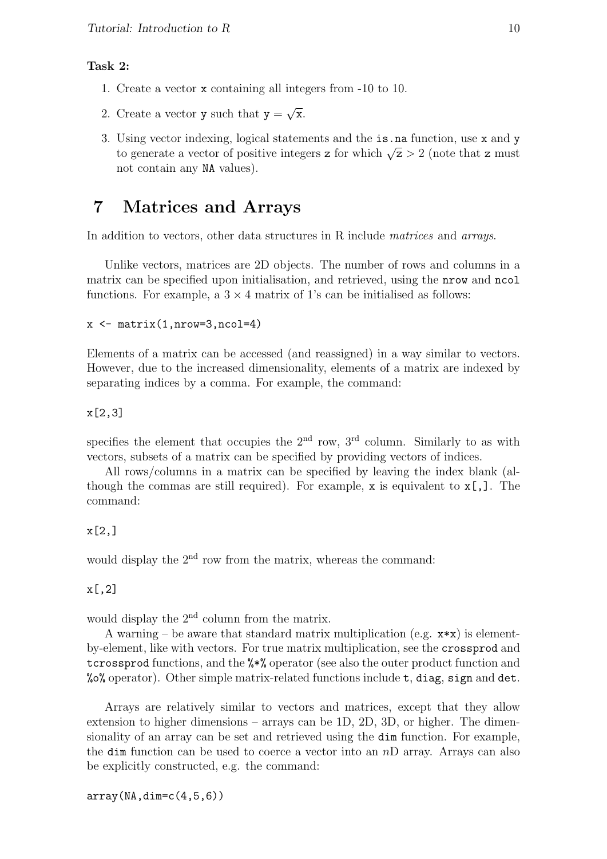### Task 2:

- 1. Create a vector x containing all integers from -10 to 10.
- 2. Create a vector  $y$  such that  $y =$ √ x.
- 3. Using vector indexing, logical statements and the is.na function, use x and y Using vector indexing, logical statements and the 1s. ha function, use x and y to generate a vector of positive integers z for which  $\sqrt{z} > 2$  (note that z must not contain any NA values).

### 7 Matrices and Arrays

In addition to vectors, other data structures in R include matrices and arrays.

Unlike vectors, matrices are 2D objects. The number of rows and columns in a matrix can be specified upon initialisation, and retrieved, using the nrow and ncol functions. For example, a  $3 \times 4$  matrix of 1's can be initialised as follows:

```
x \leftarrow \text{matrix}(1, \text{nrow=3}, \text{ncol=4})
```
Elements of a matrix can be accessed (and reassigned) in a way similar to vectors. However, due to the increased dimensionality, elements of a matrix are indexed by separating indices by a comma. For example, the command:

x[2,3]

specifies the element that occupies the  $2<sup>nd</sup>$  row,  $3<sup>rd</sup>$  column. Similarly to as with vectors, subsets of a matrix can be specified by providing vectors of indices.

All rows/columns in a matrix can be specified by leaving the index blank (although the commas are still required). For example, x is equivalent to  $x$ [,]. The command:

### x[2,]

would display the 2<sup>nd</sup> row from the matrix, whereas the command:

### x[,2]

would display the 2<sup>nd</sup> column from the matrix.

A warning – be aware that standard matrix multiplication (e.g.  $x \ast x$ ) is elementby-element, like with vectors. For true matrix multiplication, see the crossprod and tcrossprod functions, and the %\*% operator (see also the outer product function and %% operator). Other simple matrix-related functions include  $t$ , diag, sign and det.

Arrays are relatively similar to vectors and matrices, except that they allow extension to higher dimensions – arrays can be 1D, 2D, 3D, or higher. The dimensionality of an array can be set and retrieved using the dim function. For example, the dim function can be used to coerce a vector into an  $nD$  array. Arrays can also be explicitly constructed, e.g. the command: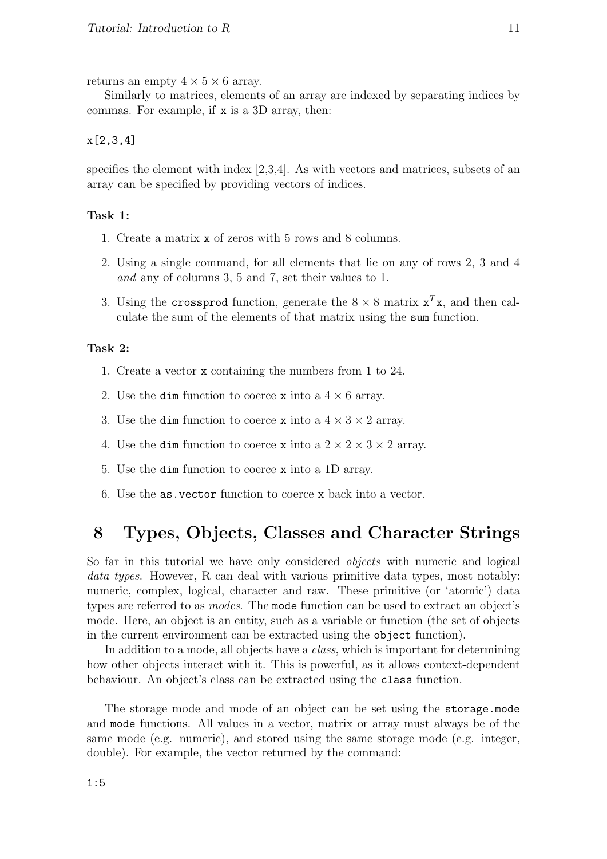returns an empty  $4 \times 5 \times 6$  array.

Similarly to matrices, elements of an array are indexed by separating indices by commas. For example, if x is a 3D array, then:

#### x[2,3,4]

specifies the element with index [2,3,4]. As with vectors and matrices, subsets of an array can be specified by providing vectors of indices.

#### Task 1:

- 1. Create a matrix x of zeros with 5 rows and 8 columns.
- 2. Using a single command, for all elements that lie on any of rows 2, 3 and 4 and any of columns 3, 5 and 7, set their values to 1.
- 3. Using the crossprod function, generate the  $8 \times 8$  matrix  $x^T x$ , and then calculate the sum of the elements of that matrix using the sum function.

#### Task 2:

- 1. Create a vector x containing the numbers from 1 to 24.
- 2. Use the dim function to coerce x into a  $4 \times 6$  array.
- 3. Use the dim function to coerce x into a  $4 \times 3 \times 2$  array.
- 4. Use the dim function to coerce x into a  $2 \times 2 \times 3 \times 2$  array.
- 5. Use the dim function to coerce x into a 1D array.
- 6. Use the as.vector function to coerce x back into a vector.

# 8 Types, Objects, Classes and Character Strings

So far in this tutorial we have only considered *objects* with numeric and logical data types. However, R can deal with various primitive data types, most notably: numeric, complex, logical, character and raw. These primitive (or 'atomic') data types are referred to as *modes*. The mode function can be used to extract an object's mode. Here, an object is an entity, such as a variable or function (the set of objects in the current environment can be extracted using the object function).

In addition to a mode, all objects have a *class*, which is important for determining how other objects interact with it. This is powerful, as it allows context-dependent behaviour. An object's class can be extracted using the class function.

The storage mode and mode of an object can be set using the storage.mode and mode functions. All values in a vector, matrix or array must always be of the same mode (e.g. numeric), and stored using the same storage mode (e.g. integer, double). For example, the vector returned by the command: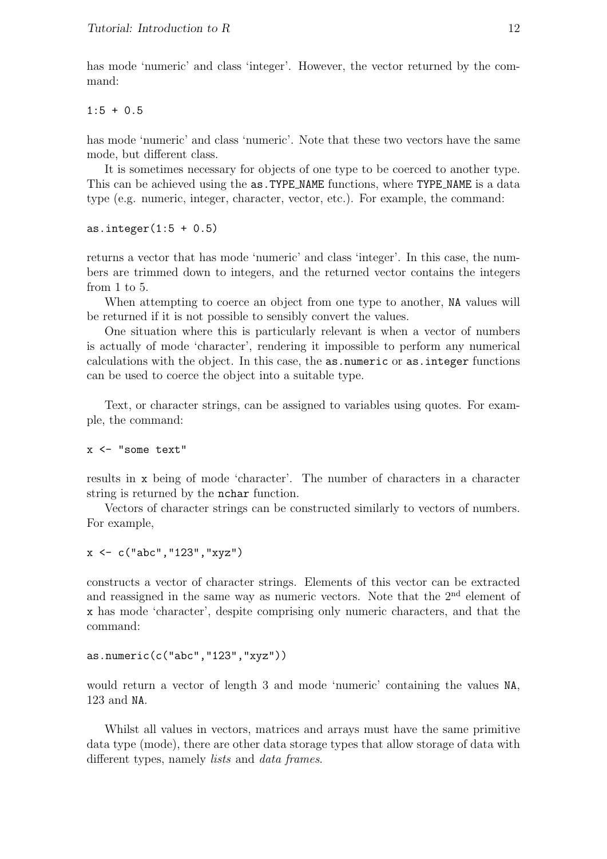has mode 'numeric' and class 'integer'. However, the vector returned by the command:

 $1:5 + 0.5$ 

has mode 'numeric' and class 'numeric'. Note that these two vectors have the same mode, but different class.

It is sometimes necessary for objects of one type to be coerced to another type. This can be achieved using the as.TYPE NAME functions, where TYPE NAME is a data type (e.g. numeric, integer, character, vector, etc.). For example, the command:

as.integer $(1:5 + 0.5)$ 

returns a vector that has mode 'numeric' and class 'integer'. In this case, the numbers are trimmed down to integers, and the returned vector contains the integers from 1 to 5.

When attempting to coerce an object from one type to another, NA values will be returned if it is not possible to sensibly convert the values.

One situation where this is particularly relevant is when a vector of numbers is actually of mode 'character', rendering it impossible to perform any numerical calculations with the object. In this case, the as.numeric or as.integer functions can be used to coerce the object into a suitable type.

Text, or character strings, can be assigned to variables using quotes. For example, the command:

x <- "some text"

results in x being of mode 'character'. The number of characters in a character string is returned by the nchar function.

Vectors of character strings can be constructed similarly to vectors of numbers. For example,

```
x \leftarrow c("abc", "123", "xyz")
```
constructs a vector of character strings. Elements of this vector can be extracted and reassigned in the same way as numeric vectors. Note that the  $2<sup>nd</sup>$  element of x has mode 'character', despite comprising only numeric characters, and that the command:

```
as.numeric(c("abc","123","xyz"))
```
would return a vector of length 3 and mode 'numeric' containing the values NA, 123 and NA.

Whilst all values in vectors, matrices and arrays must have the same primitive data type (mode), there are other data storage types that allow storage of data with different types, namely *lists* and *data frames*.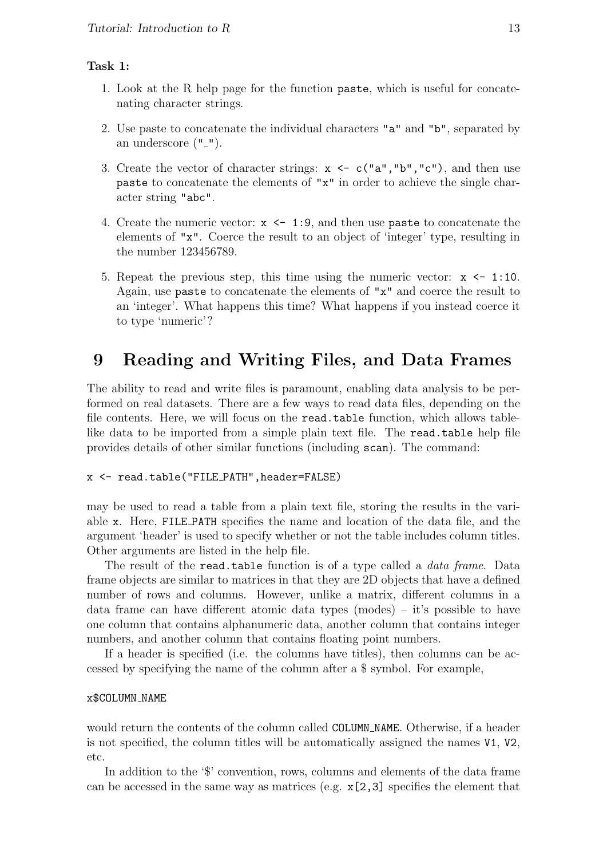### Task 1:

- 1. Look at the R help page for the function paste, which is useful for concatenating character strings.
- 2. Use paste to concatenate the individual characters "a" and "b", separated by an underscore  $("$ [" $)$ ].
- 3. Create the vector of character strings:  $x \leq c$  ("a","b","c"), and then use paste to concatenate the elements of "x" in order to achieve the single character string "abc".
- 4. Create the numeric vector:  $x \leq 1:9$ , and then use paste to concatenate the elements of "x". Coerce the result to an object of 'integer' type, resulting in the number 123456789.
- 5. Repeat the previous step, this time using the numeric vector:  $x \leq 1:10$ . Again, use paste to concatenate the elements of "x" and coerce the result to an 'integer'. What happens this time? What happens if you instead coerce it to type 'numeric'?

# 9 Reading and Writing Files, and Data Frames

The ability to read and write files is paramount, enabling data analysis to be performed on real datasets. There are a few ways to read data files, depending on the file contents. Here, we will focus on the read.table function, which allows tablelike data to be imported from a simple plain text file. The read.table help file provides details of other similar functions (including scan). The command:

#### x <- read.table("FILE PATH",header=FALSE)

may be used to read a table from a plain text file, storing the results in the variable x. Here, FILE PATH specifies the name and location of the data file, and the argument 'header' is used to specify whether or not the table includes column titles. Other arguments are listed in the help file.

The result of the read.table function is of a type called a *data frame*. Data frame objects are similar to matrices in that they are 2D objects that have a defined number of rows and columns. However, unlike a matrix, different columns in a data frame can have different atomic data types (modes) – it's possible to have one column that contains alphanumeric data, another column that contains integer numbers, and another column that contains floating point numbers.

If a header is specified (i.e. the columns have titles), then columns can be accessed by specifying the name of the column after a \$ symbol. For example,

#### x\$COLUMN NAME

would return the contents of the column called COLUMN NAME. Otherwise, if a header is not specified, the column titles will be automatically assigned the names V1, V2, etc.

In addition to the '\$' convention, rows, columns and elements of the data frame can be accessed in the same way as matrices (e.g. x[2,3] specifies the element that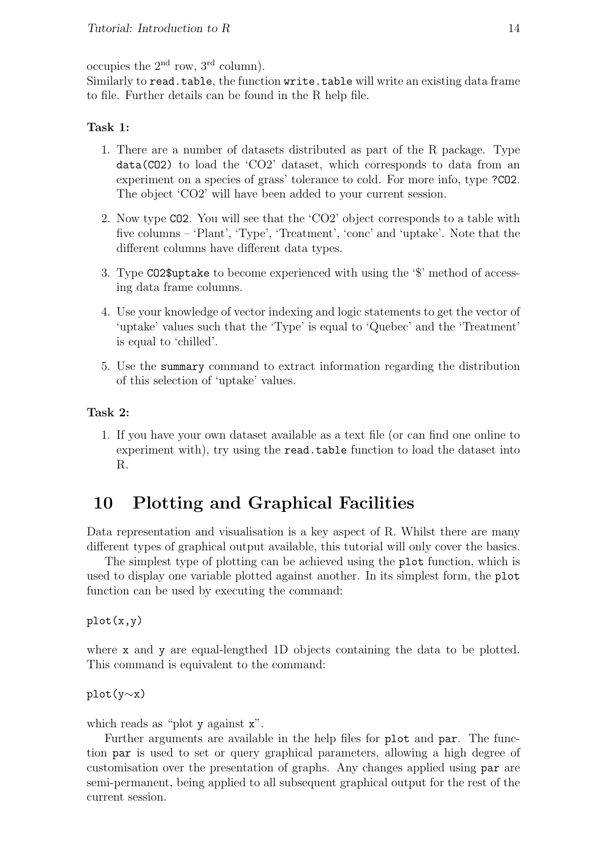occupies the  $2<sup>nd</sup>$  row,  $3<sup>rd</sup>$  column).

Similarly to read.table, the function write.table will write an existing data frame to file. Further details can be found in the R help file.

### Task 1:

- 1. There are a number of datasets distributed as part of the R package. Type data(CO2) to load the 'CO2' dataset, which corresponds to data from an experiment on a species of grass' tolerance to cold. For more info, type ?CO2. The object 'CO2' will have been added to your current session.
- 2. Now type CO2. You will see that the 'CO2' object corresponds to a table with five columns – 'Plant', 'Type', 'Treatment', 'conc' and 'uptake'. Note that the different columns have different data types.
- 3. Type CO2\$uptake to become experienced with using the '\$' method of accessing data frame columns.
- 4. Use your knowledge of vector indexing and logic statements to get the vector of 'uptake' values such that the 'Type' is equal to 'Quebec' and the 'Treatment' is equal to 'chilled'.
- 5. Use the summary command to extract information regarding the distribution of this selection of 'uptake' values.

### Task 2:

1. If you have your own dataset available as a text file (or can find one online to experiment with), try using the read.table function to load the dataset into R.

# 10 Plotting and Graphical Facilities

Data representation and visualisation is a key aspect of R. Whilst there are many different types of graphical output available, this tutorial will only cover the basics.

The simplest type of plotting can be achieved using the plot function, which is used to display one variable plotted against another. In its simplest form, the plot function can be used by executing the command:

plot(x,y)

where x and y are equal-lengthed 1D objects containing the data to be plotted. This command is equivalent to the command:

### plot(y∼x)

which reads as "plot y against  $x$ ".

Further arguments are available in the help files for plot and par. The function par is used to set or query graphical parameters, allowing a high degree of customisation over the presentation of graphs. Any changes applied using par are semi-permanent, being applied to all subsequent graphical output for the rest of the current session.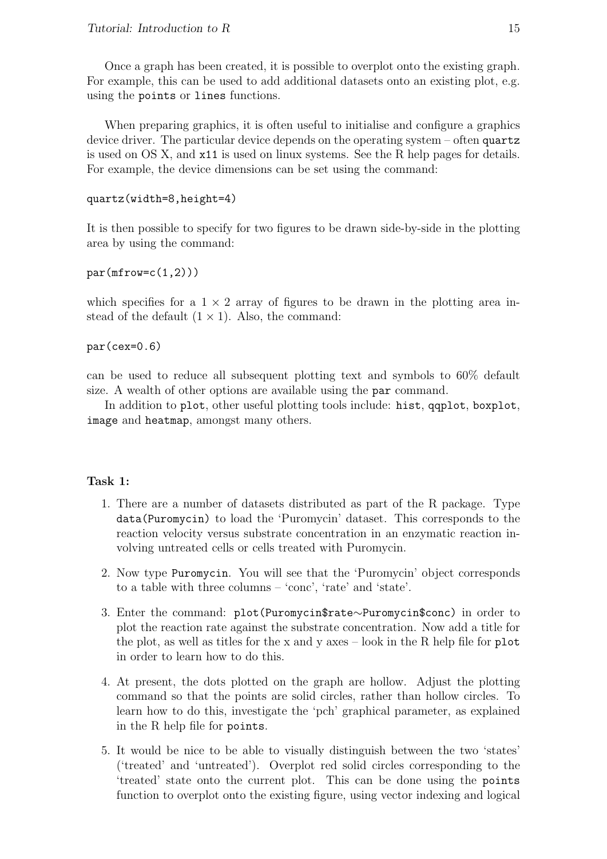Once a graph has been created, it is possible to overplot onto the existing graph. For example, this can be used to add additional datasets onto an existing plot, e.g. using the points or lines functions.

When preparing graphics, it is often useful to initialise and configure a graphics device driver. The particular device depends on the operating system – often quartz is used on OS X, and x11 is used on linux systems. See the R help pages for details. For example, the device dimensions can be set using the command:

```
quartz(width=8,height=4)
```
It is then possible to specify for two figures to be drawn side-by-side in the plotting area by using the command:

```
par(mfrow=c(1,2)))
```
which specifies for a  $1 \times 2$  array of figures to be drawn in the plotting area instead of the default  $(1 \times 1)$ . Also, the command:

par(cex=0.6)

can be used to reduce all subsequent plotting text and symbols to 60% default size. A wealth of other options are available using the par command.

In addition to plot, other useful plotting tools include: hist, qqplot, boxplot, image and heatmap, amongst many others.

- 1. There are a number of datasets distributed as part of the R package. Type data(Puromycin) to load the 'Puromycin' dataset. This corresponds to the reaction velocity versus substrate concentration in an enzymatic reaction involving untreated cells or cells treated with Puromycin.
- 2. Now type Puromycin. You will see that the 'Puromycin' object corresponds to a table with three columns – 'conc', 'rate' and 'state'.
- 3. Enter the command: plot(Puromycin\$rate∼Puromycin\$conc) in order to plot the reaction rate against the substrate concentration. Now add a title for the plot, as well as titles for the x and y axes – look in the R help file for  $plot$ in order to learn how to do this.
- 4. At present, the dots plotted on the graph are hollow. Adjust the plotting command so that the points are solid circles, rather than hollow circles. To learn how to do this, investigate the 'pch' graphical parameter, as explained in the R help file for points.
- 5. It would be nice to be able to visually distinguish between the two 'states' ('treated' and 'untreated'). Overplot red solid circles corresponding to the 'treated' state onto the current plot. This can be done using the points function to overplot onto the existing figure, using vector indexing and logical